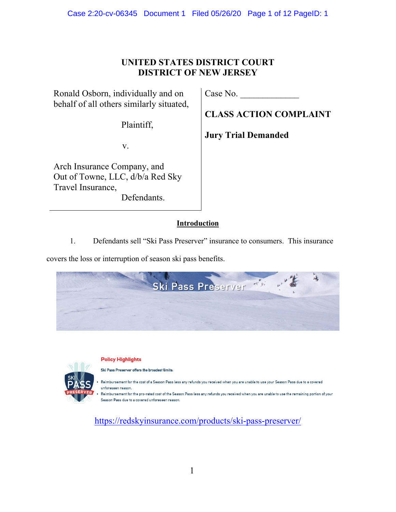# Case 2:20-cv-06345 Document 1 Filed 05/26/20 Page 1 of 12 PageID: 1

# **UNITED STATES DISTRICT COURT DISTRICT OF NEW JERSEY**

Ronald Osborn, individually and on behalf of all others similarly situated,

Plaintiff,

v.

Arch Insurance Company, and Out of Towne, LLC, d/b/a Red Sky Travel Insurance, Defendants.

Case No.

**CLASS ACTION COMPLAINT** 

**Jury Trial Demanded** 

# **Introduction**

1. Defendants sell "Ski Pass Preserver" insurance to consumers. This insurance

covers the loss or interruption of season ski pass benefits.





https://redskyinsurance.com/products/ski-pass-preserver/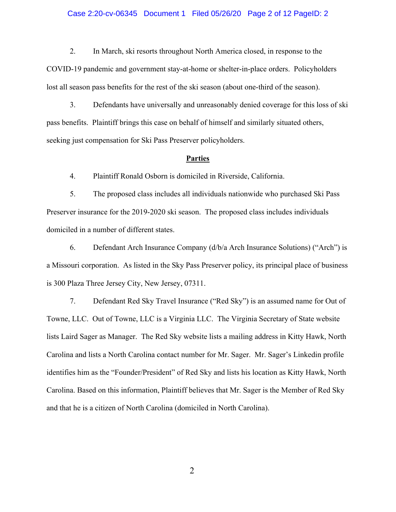### Case 2:20-cv-06345 Document 1 Filed 05/26/20 Page 2 of 12 PageID: 2

2. In March, ski resorts throughout North America closed, in response to the

COVID-19 pandemic and government stay-at-home or shelter-in-place orders. Policyholders lost all season pass benefits for the rest of the ski season (about one-third of the season).

3. Defendants have universally and unreasonably denied coverage for this loss of ski pass benefits. Plaintiff brings this case on behalf of himself and similarly situated others, seeking just compensation for Ski Pass Preserver policyholders.

### **Parties**

4. Plaintiff Ronald Osborn is domiciled in Riverside, California.

5. The proposed class includes all individuals nationwide who purchased Ski Pass Preserver insurance for the 2019-2020 ski season. The proposed class includes individuals domiciled in a number of different states.

6. Defendant Arch Insurance Company (d/b/a Arch Insurance Solutions) ("Arch") is a Missouri corporation. As listed in the Sky Pass Preserver policy, its principal place of business is 300 Plaza Three Jersey City, New Jersey, 07311.

7. Defendant Red Sky Travel Insurance ("Red Sky") is an assumed name for Out of Towne, LLC. Out of Towne, LLC is a Virginia LLC. The Virginia Secretary of State website lists Laird Sager as Manager. The Red Sky website lists a mailing address in Kitty Hawk, North Carolina and lists a North Carolina contact number for Mr. Sager. Mr. Sager's Linkedin profile identifies him as the "Founder/President" of Red Sky and lists his location as Kitty Hawk, North Carolina. Based on this information, Plaintiff believes that Mr. Sager is the Member of Red Sky and that he is a citizen of North Carolina (domiciled in North Carolina).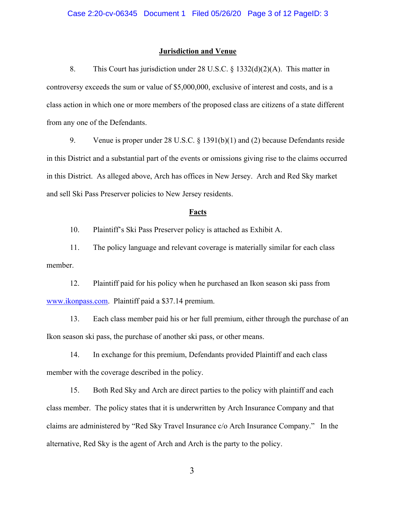### **Jurisdiction and Venue**

8. This Court has jurisdiction under 28 U.S.C. § 1332(d)(2)(A). This matter in controversy exceeds the sum or value of \$5,000,000, exclusive of interest and costs, and is a class action in which one or more members of the proposed class are citizens of a state different from any one of the Defendants.

9. Venue is proper under 28 U.S.C. § 1391(b)(1) and (2) because Defendants reside in this District and a substantial part of the events or omissions giving rise to the claims occurred in this District. As alleged above, Arch has offices in New Jersey. Arch and Red Sky market and sell Ski Pass Preserver policies to New Jersey residents.

### **Facts**

10. Plaintiff's Ski Pass Preserver policy is attached as Exhibit A.

11. The policy language and relevant coverage is materially similar for each class member.

12. Plaintiff paid for his policy when he purchased an Ikon season ski pass from www.ikonpass.com. Plaintiff paid a \$37.14 premium.

13. Each class member paid his or her full premium, either through the purchase of an Ikon season ski pass, the purchase of another ski pass, or other means.

14. In exchange for this premium, Defendants provided Plaintiff and each class member with the coverage described in the policy.

15. Both Red Sky and Arch are direct parties to the policy with plaintiff and each class member. The policy states that it is underwritten by Arch Insurance Company and that claims are administered by "Red Sky Travel Insurance c/o Arch Insurance Company." In the alternative, Red Sky is the agent of Arch and Arch is the party to the policy.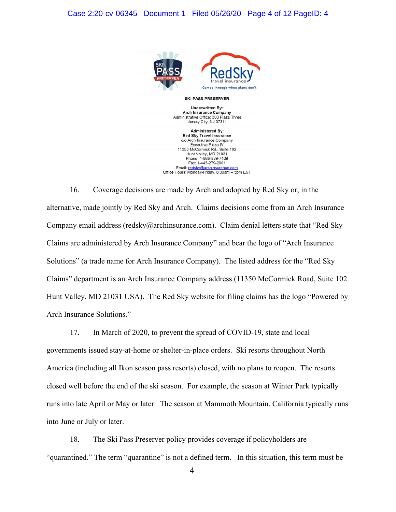

**SKI PASS PRESERVER** 

**Underwritten By: Arch Insurance Company** Administrative Office: 300 Plaza Three Jersey City, NJ 07311

**Administered By: Red Sky Travel Insurance** c/o Arch Insurance Company Executive Plaza IV 1350 McCormick Rd., Suite 102 Hunt Valley, MD 21031 Phone: 1-866-889-7409 Fax: 1-443-279-2901 Email: redsky@archinsurance.com<br>Office Hours: Monday-Friday, 8:30am – 5pm EST

16. Coverage decisions are made by Arch and adopted by Red Sky or, in the alternative, made jointly by Red Sky and Arch. Claims decisions come from an Arch Insurance Company email address (redsky@archinsurance.com). Claim denial letters state that "Red Sky Claims are administered by Arch Insurance Company" and bear the logo of "Arch Insurance Solutions" (a trade name for Arch Insurance Company). The listed address for the "Red Sky Claims" department is an Arch Insurance Company address (11350 McCormick Road, Suite 102 Hunt Valley, MD 21031 USA). The Red Sky website for filing claims has the logo "Powered by Arch Insurance Solutions."

17. In March of 2020, to prevent the spread of COVID-19, state and local governments issued stay-at-home or shelter-in-place orders. Ski resorts throughout North America (including all Ikon season pass resorts) closed, with no plans to reopen. The resorts closed well before the end of the ski season. For example, the season at Winter Park typically runs into late April or May or later. The season at Mammoth Mountain, California typically runs into June or July or later.

18. The Ski Pass Preserver policy provides coverage if policyholders are "quarantined." The term "quarantine" is not a defined term. In this situation, this term must be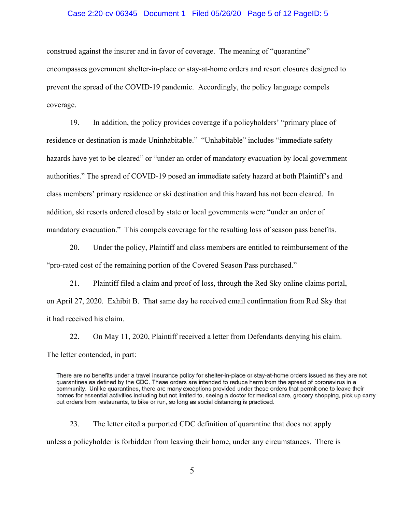### Case 2:20-cv-06345 Document 1 Filed 05/26/20 Page 5 of 12 PageID: 5

construed against the insurer and in favor of coverage. The meaning of "quarantine" encompasses government shelter-in-place or stay-at-home orders and resort closures designed to prevent the spread of the COVID-19 pandemic. Accordingly, the policy language compels coverage.

19. In addition, the policy provides coverage if a policyholders' "primary place of residence or destination is made Uninhabitable." "Unhabitable" includes "immediate safety hazards have yet to be cleared" or "under an order of mandatory evacuation by local government authorities." The spread of COVID-19 posed an immediate safety hazard at both Plaintiff's and class members' primary residence or ski destination and this hazard has not been cleared. In addition, ski resorts ordered closed by state or local governments were "under an order of mandatory evacuation." This compels coverage for the resulting loss of season pass benefits.

20. Under the policy, Plaintiff and class members are entitled to reimbursement of the "pro-rated cost of the remaining portion of the Covered Season Pass purchased."

21. Plaintiff filed a claim and proof of loss, through the Red Sky online claims portal, on April 27, 2020. Exhibit B. That same day he received email confirmation from Red Sky that it had received his claim.

22. On May 11, 2020, Plaintiff received a letter from Defendants denying his claim. The letter contended, in part:

23. The letter cited a purported CDC definition of quarantine that does not apply unless a policyholder is forbidden from leaving their home, under any circumstances. There is

There are no benefits under a travel insurance policy for shelter-in-place or stay-at-home orders issued as they are not quarantines as defined by the CDC. These orders are intended to reduce harm from the spread of coronavirus in a community. Unlike quarantines, there are many exceptions provided under these orders that permit one to leave their homes for essential activities including but not limited to, seeing a doctor for medical care, grocery shopping, pick up carry out orders from restaurants, to bike or run, so long as social distancing is practiced.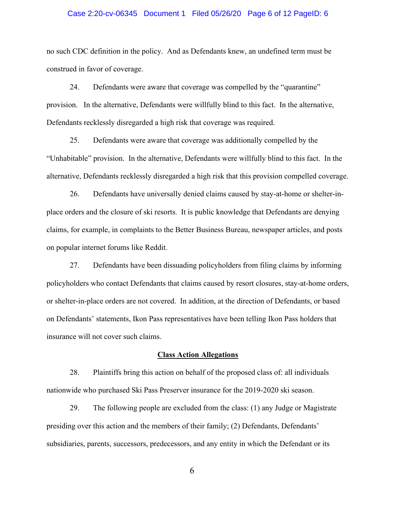### Case 2:20-cv-06345 Document 1 Filed 05/26/20 Page 6 of 12 PageID: 6

no such CDC definition in the policy. And as Defendants knew, an undefined term must be construed in favor of coverage.

24. Defendants were aware that coverage was compelled by the "quarantine" provision. In the alternative, Defendants were willfully blind to this fact. In the alternative, Defendants recklessly disregarded a high risk that coverage was required.

25. Defendants were aware that coverage was additionally compelled by the "Unhabitable" provision. In the alternative, Defendants were willfully blind to this fact. In the alternative, Defendants recklessly disregarded a high risk that this provision compelled coverage.

26. Defendants have universally denied claims caused by stay-at-home or shelter-inplace orders and the closure of ski resorts. It is public knowledge that Defendants are denying claims, for example, in complaints to the Better Business Bureau, newspaper articles, and posts on popular internet forums like Reddit.

27. Defendants have been dissuading policyholders from filing claims by informing policyholders who contact Defendants that claims caused by resort closures, stay-at-home orders, or shelter-in-place orders are not covered. In addition, at the direction of Defendants, or based on Defendants' statements, Ikon Pass representatives have been telling Ikon Pass holders that insurance will not cover such claims.

### **Class Action Allegations**

28. Plaintiffs bring this action on behalf of the proposed class of: all individuals nationwide who purchased Ski Pass Preserver insurance for the 2019-2020 ski season.

29. The following people are excluded from the class: (1) any Judge or Magistrate presiding over this action and the members of their family; (2) Defendants, Defendants' subsidiaries, parents, successors, predecessors, and any entity in which the Defendant or its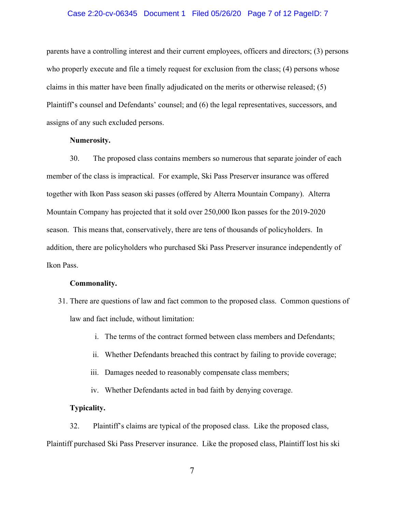### Case 2:20-cv-06345 Document 1 Filed 05/26/20 Page 7 of 12 PageID: 7

parents have a controlling interest and their current employees, officers and directors; (3) persons who properly execute and file a timely request for exclusion from the class; (4) persons whose claims in this matter have been finally adjudicated on the merits or otherwise released; (5) Plaintiff's counsel and Defendants' counsel; and (6) the legal representatives, successors, and assigns of any such excluded persons.

### **Numerosity.**

30. The proposed class contains members so numerous that separate joinder of each member of the class is impractical. For example, Ski Pass Preserver insurance was offered together with Ikon Pass season ski passes (offered by Alterra Mountain Company). Alterra Mountain Company has projected that it sold over 250,000 Ikon passes for the 2019-2020 season. This means that, conservatively, there are tens of thousands of policyholders. In addition, there are policyholders who purchased Ski Pass Preserver insurance independently of Ikon Pass.

#### **Commonality.**

- 31. There are questions of law and fact common to the proposed class. Common questions of law and fact include, without limitation:
	- i. The terms of the contract formed between class members and Defendants;
	- ii. Whether Defendants breached this contract by failing to provide coverage;
	- iii. Damages needed to reasonably compensate class members;
	- iv. Whether Defendants acted in bad faith by denying coverage.

# **Typicality.**

32. Plaintiff's claims are typical of the proposed class. Like the proposed class, Plaintiff purchased Ski Pass Preserver insurance. Like the proposed class, Plaintiff lost his ski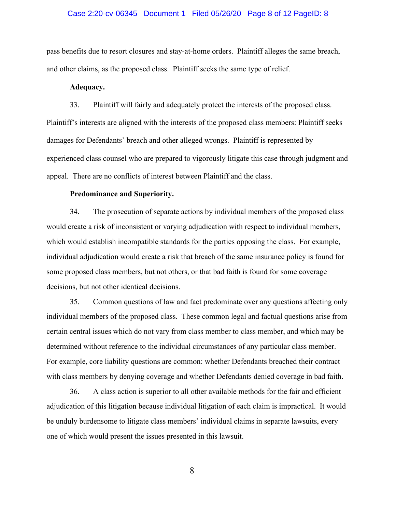### Case 2:20-cv-06345 Document 1 Filed 05/26/20 Page 8 of 12 PageID: 8

pass benefits due to resort closures and stay-at-home orders. Plaintiff alleges the same breach, and other claims, as the proposed class. Plaintiff seeks the same type of relief.

### **Adequacy.**

33. Plaintiff will fairly and adequately protect the interests of the proposed class. Plaintiff's interests are aligned with the interests of the proposed class members: Plaintiff seeks damages for Defendants' breach and other alleged wrongs. Plaintiff is represented by experienced class counsel who are prepared to vigorously litigate this case through judgment and appeal. There are no conflicts of interest between Plaintiff and the class.

### **Predominance and Superiority.**

34. The prosecution of separate actions by individual members of the proposed class would create a risk of inconsistent or varying adjudication with respect to individual members, which would establish incompatible standards for the parties opposing the class. For example, individual adjudication would create a risk that breach of the same insurance policy is found for some proposed class members, but not others, or that bad faith is found for some coverage decisions, but not other identical decisions.

35. Common questions of law and fact predominate over any questions affecting only individual members of the proposed class. These common legal and factual questions arise from certain central issues which do not vary from class member to class member, and which may be determined without reference to the individual circumstances of any particular class member. For example, core liability questions are common: whether Defendants breached their contract with class members by denying coverage and whether Defendants denied coverage in bad faith.

36. A class action is superior to all other available methods for the fair and efficient adjudication of this litigation because individual litigation of each claim is impractical. It would be unduly burdensome to litigate class members' individual claims in separate lawsuits, every one of which would present the issues presented in this lawsuit.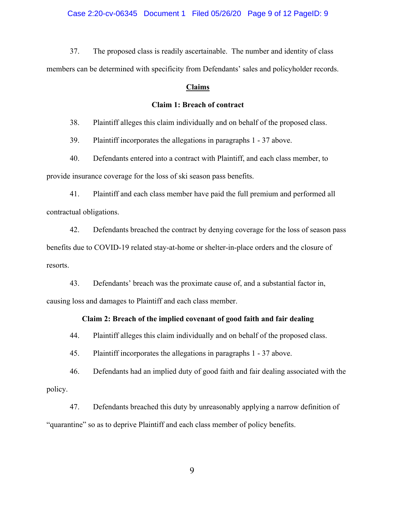Case 2:20-cv-06345 Document 1 Filed 05/26/20 Page 9 of 12 PageID: 9

37. The proposed class is readily ascertainable. The number and identity of class members can be determined with specificity from Defendants' sales and policyholder records.

### **Claims**

### **Claim 1: Breach of contract**

38. Plaintiff alleges this claim individually and on behalf of the proposed class.

39. Plaintiff incorporates the allegations in paragraphs 1 - 37 above.

40. Defendants entered into a contract with Plaintiff, and each class member, to provide insurance coverage for the loss of ski season pass benefits.

41. Plaintiff and each class member have paid the full premium and performed all contractual obligations.

42. Defendants breached the contract by denying coverage for the loss of season pass benefits due to COVID-19 related stay-at-home or shelter-in-place orders and the closure of resorts.

43. Defendants' breach was the proximate cause of, and a substantial factor in, causing loss and damages to Plaintiff and each class member.

### **Claim 2: Breach of the implied covenant of good faith and fair dealing**

44. Plaintiff alleges this claim individually and on behalf of the proposed class.

45. Plaintiff incorporates the allegations in paragraphs 1 - 37 above.

46. Defendants had an implied duty of good faith and fair dealing associated with the policy.

47. Defendants breached this duty by unreasonably applying a narrow definition of "quarantine" so as to deprive Plaintiff and each class member of policy benefits.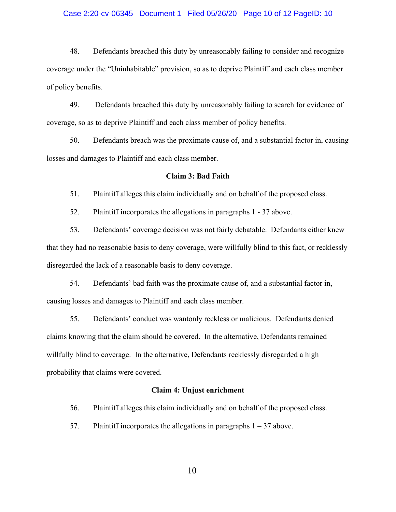### Case 2:20-cv-06345 Document 1 Filed 05/26/20 Page 10 of 12 PageID: 10

48. Defendants breached this duty by unreasonably failing to consider and recognize coverage under the "Uninhabitable" provision, so as to deprive Plaintiff and each class member of policy benefits.

49. Defendants breached this duty by unreasonably failing to search for evidence of coverage, so as to deprive Plaintiff and each class member of policy benefits.

50. Defendants breach was the proximate cause of, and a substantial factor in, causing losses and damages to Plaintiff and each class member.

### **Claim 3: Bad Faith**

51. Plaintiff alleges this claim individually and on behalf of the proposed class.

52. Plaintiff incorporates the allegations in paragraphs 1 - 37 above.

53. Defendants' coverage decision was not fairly debatable. Defendants either knew that they had no reasonable basis to deny coverage, were willfully blind to this fact, or recklessly disregarded the lack of a reasonable basis to deny coverage.

54. Defendants' bad faith was the proximate cause of, and a substantial factor in, causing losses and damages to Plaintiff and each class member.

55. Defendants' conduct was wantonly reckless or malicious. Defendants denied claims knowing that the claim should be covered. In the alternative, Defendants remained willfully blind to coverage. In the alternative, Defendants recklessly disregarded a high probability that claims were covered.

#### **Claim 4: Unjust enrichment**

56. Plaintiff alleges this claim individually and on behalf of the proposed class.

57. Plaintiff incorporates the allegations in paragraphs  $1 - 37$  above.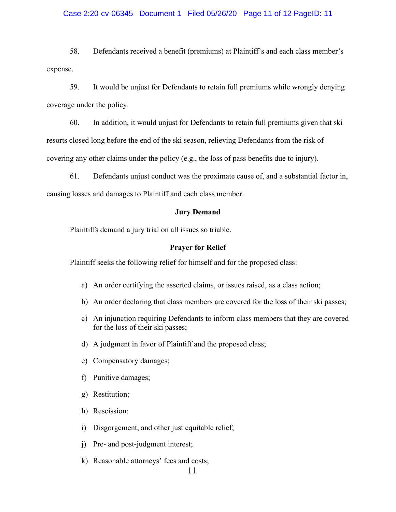### Case 2:20-cv-06345 Document 1 Filed 05/26/20 Page 11 of 12 PageID: 11

58. Defendants received a benefit (premiums) at Plaintiff's and each class member's expense.

59. It would be unjust for Defendants to retain full premiums while wrongly denying coverage under the policy.

60. In addition, it would unjust for Defendants to retain full premiums given that ski resorts closed long before the end of the ski season, relieving Defendants from the risk of covering any other claims under the policy (e.g., the loss of pass benefits due to injury).

61. Defendants unjust conduct was the proximate cause of, and a substantial factor in, causing losses and damages to Plaintiff and each class member.

### **Jury Demand**

Plaintiffs demand a jury trial on all issues so triable.

#### **Prayer for Relief**

Plaintiff seeks the following relief for himself and for the proposed class:

- a) An order certifying the asserted claims, or issues raised, as a class action;
- b) An order declaring that class members are covered for the loss of their ski passes;
- c) An injunction requiring Defendants to inform class members that they are covered for the loss of their ski passes;
- d) A judgment in favor of Plaintiff and the proposed class;
- e) Compensatory damages;
- f) Punitive damages;
- g) Restitution;
- h) Rescission;
- i) Disgorgement, and other just equitable relief;
- j) Pre- and post-judgment interest;
- k) Reasonable attorneys' fees and costs;